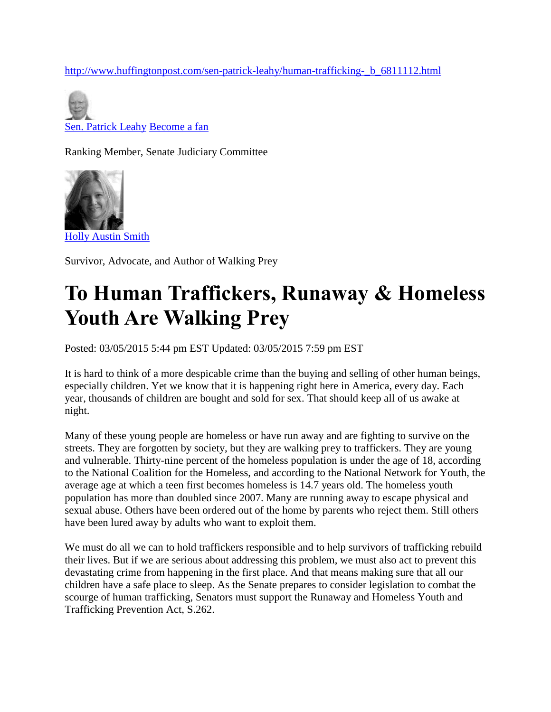[http://www.huffingtonpost.com/sen-patrick-leahy/human-trafficking-\\_b\\_6811112.html](http://www.huffingtonpost.com/sen-patrick-leahy/human-trafficking-_b_6811112.html)

[Sen. Patrick Leahy](http://www.huffingtonpost.com/sen-patrick-leahy/) [Become a fan](http://www.huffingtonpost.com/users/becomeFan.php?of=hp_blogger_Sen.%20Patrick%20Leahy)

Ranking Member, Senate Judiciary Committee



Survivor, Advocate, and Author of Walking Prey

## **To Human Traffickers, Runaway & Homeless Youth Are Walking Prey**

Posted: 03/05/2015 5:44 pm EST Updated: 03/05/2015 7:59 pm EST

It is hard to think of a more despicable crime than the buying and selling of other human beings, especially children. Yet we know that it is happening right here in America, every day. Each year, thousands of children are bought and sold for sex. That should keep all of us awake at night.

Many of these young people are homeless or have run away and are fighting to survive on the streets. They are forgotten by society, but they are walking prey to traffickers. They are young and vulnerable. Thirty-nine percent of the homeless population is under the age of 18, according to the National Coalition for the Homeless, and according to the National Network for Youth, the average age at which a teen first becomes homeless is 14.7 years old. The homeless youth population has more than doubled since 2007. Many are running away to escape physical and sexual abuse. Others have been ordered out of the home by parents who reject them. Still others have been lured away by adults who want to exploit them.

We must do all we can to hold traffickers responsible and to help survivors of trafficking rebuild their lives. But if we are serious about addressing this problem, we must also act to prevent this devastating crime from happening in the first place. And that means making sure that all our children have a safe place to sleep. As the Senate prepares to consider legislation to combat the scourge of human trafficking, Senators must support the Runaway and Homeless Youth and Trafficking Prevention Act, S.262.